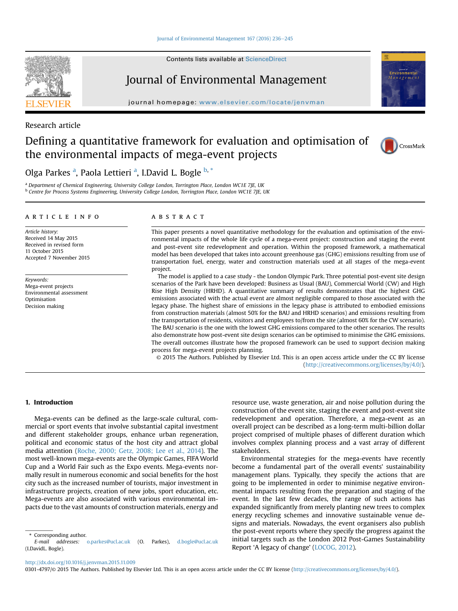## [Journal of Environmental Management 167 \(2016\) 236](http://dx.doi.org/10.1016/j.jenvman.2015.11.009)-[245](http://dx.doi.org/10.1016/j.jenvman.2015.11.009)

Contents lists available at ScienceDirect

# Journal of Environmental Management

journal homepage: [www.elsevier.com/locate/jenvman](http://www.elsevier.com/locate/jenvman)

Research article

# Defining a quantitative framework for evaluation and optimisation of the environmental impacts of mega-event projects



<sup>a</sup> Department of Chemical Engineering, University College London, Torrington Place, London WC1E 7JE, UK b Centre for Process Systems Engineering, University College London, Torrington Place, London WC1E 7JE, UK

# article info

Article history: Received 14 May 2015 Received in revised form 11 October 2015 Accepted 7 November 2015

Keywords: Mega-event projects Environmental assessment Optimisation Decision making

# **ABSTRACT**

This paper presents a novel quantitative methodology for the evaluation and optimisation of the environmental impacts of the whole life cycle of a mega-event project: construction and staging the event and post-event site redevelopment and operation. Within the proposed framework, a mathematical model has been developed that takes into account greenhouse gas (GHG) emissions resulting from use of transportation fuel, energy, water and construction materials used at all stages of the mega-event project.

The model is applied to a case study - the London Olympic Park. Three potential post-event site design scenarios of the Park have been developed: Business as Usual (BAU), Commercial World (CW) and High Rise High Density (HRHD). A quantitative summary of results demonstrates that the highest GHG emissions associated with the actual event are almost negligible compared to those associated with the legacy phase. The highest share of emissions in the legacy phase is attributed to embodied emissions from construction materials (almost 50% for the BAU and HRHD scenarios) and emissions resulting from the transportation of residents, visitors and employees to/from the site (almost 60% for the CW scenario). The BAU scenario is the one with the lowest GHG emissions compared to the other scenarios. The results also demonstrate how post-event site design scenarios can be optimised to minimise the GHG emissions. The overall outcomes illustrate how the proposed framework can be used to support decision making process for mega-event projects planning.

© 2015 The Authors. Published by Elsevier Ltd. This is an open access article under the CC BY license [\(http://creativecommons.org/licenses/by/4.0/](http://creativecommons.org/licenses/by/4.�0/)).

# 1. Introduction

Mega-events can be defined as the large-scale cultural, commercial or sport events that involve substantial capital investment and different stakeholder groups, enhance urban regeneration, political and economic status of the host city and attract global media attention ([Roche, 2000; Getz, 2008; Lee et al., 2014\)](#page-9-0). The most well-known mega-events are the Olympic Games, FIFA World Cup and a World Fair such as the Expo events. Mega-events normally result in numerous economic and social benefits for the host city such as the increased number of tourists, major investment in infrastructure projects, creation of new jobs, sport education, etc. Mega-events are also associated with various environmental impacts due to the vast amounts of construction materials, energy and resource use, waste generation, air and noise pollution during the construction of the event site, staging the event and post-event site redevelopment and operation. Therefore, a mega-event as an overall project can be described as a long-term multi-billion dollar project comprised of multiple phases of different duration which involves complex planning process and a vast array of different stakeholders.

Environmental strategies for the mega-events have recently become a fundamental part of the overall events' sustainability management plans. Typically, they specify the actions that are going to be implemented in order to minimise negative environmental impacts resulting from the preparation and staging of the event. In the last few decades, the range of such actions has expanded significantly from merely planting new trees to complex energy recycling schemes and innovative sustainable venue designs and materials. Nowadays, the event organisers also publish the post-event reports where they specify the progress against the initial targets such as the London 2012 Post-Games Sustainability Report 'A legacy of change' [\(LOCOG, 2012\)](#page-9-0).





 $CrossMark$ 

<sup>\*</sup> Corresponding author.

E-mail addresses: [o.parkes@ucl.ac.uk](mailto:o.parkes@ucl.ac.uk) (O. Parkes), [d.bogle@ucl.ac.uk](mailto:d.bogle@ucl.ac.uk) (I.DavidL. Bogle).

<http://dx.doi.org/10.1016/j.jenvman.2015.11.009>

<sup>0301-4797/© 2015</sup> The Authors. Published by Elsevier Ltd. This is an open access article under the CC BY license ([http://creativecommons.org/licenses/by/4.0/\)](http://creativecommons.org/licenses/by/4.�0/).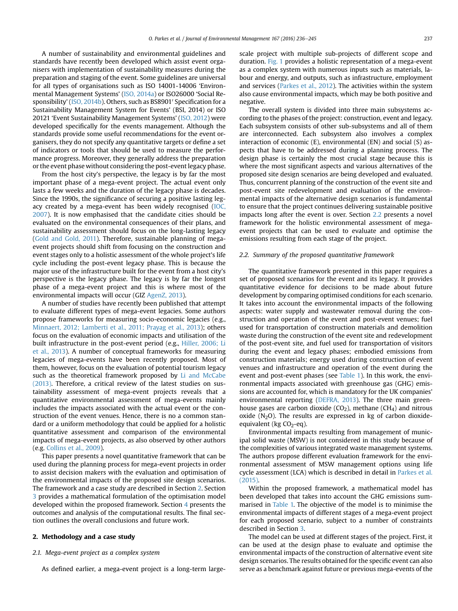A number of sustainability and environmental guidelines and standards have recently been developed which assist event organisers with implementation of sustainability measures during the preparation and staging of the event. Some guidelines are universal for all types of organisations such as ISO 14001-14006 'Environmental Management Systems' [\(ISO, 2014a](#page-9-0)) or ISO26000 'Social Re-sponsibility' ([ISO, 2014b\)](#page-9-0). Others, such as BS8901' Specification for a Sustainability Management System for Events' (BSI, 2014) or ISO 20121 'Event Sustainability Management Systems' ([ISO, 2012\)](#page-9-0) were developed specifically for the events management. Although the standards provide some useful recommendations for the event organisers, they do not specify any quantitative targets or define a set of indicators or tools that should be used to measure the performance progress. Moreover, they generally address the preparation or the event phase without considering the post-event legacy phase.

From the host city's perspective, the legacy is by far the most important phase of a mega-event project. The actual event only lasts a few weeks and the duration of the legacy phase is decades. Since the 1990s, the significance of securing a positive lasting legacy created by a mega-event has been widely recognised [\(IOC,](#page-9-0) [2007\)](#page-9-0). It is now emphasised that the candidate cities should be evaluated on the environmental consequences of their plans, and sustainability assessment should focus on the long-lasting legacy ([Gold and Gold, 2011\)](#page-9-0). Therefore, sustainable planning of megaevent projects should shift from focusing on the construction and event stages only to a holistic assessment of the whole project's life cycle including the post-event legacy phase. This is because the major use of the infrastructure built for the event from a host city's perspective is the legacy phase. The legacy is by far the longest phase of a mega-event project and this is where most of the environmental impacts will occur (GIZ [AgenZ, 2013\)](#page-9-0).

A number of studies have recently been published that attempt to evaluate different types of mega-event legacies. Some authors propose frameworks for measuring socio-economic legacies (e.g., [Minnaert, 2012; Lamberti et al., 2011; Prayag et al., 2013\)](#page-9-0); others focus on the evaluation of economic impacts and utilisation of the built infrastructure in the post-event period (e.g., [Hiller, 2006; Li](#page-9-0) [et al., 2013](#page-9-0)). A number of conceptual frameworks for measuring legacies of mega-events have been recently proposed. Most of them, however, focus on the evaluation of potential tourism legacy such as the theoretical framework proposed by [Li and McCabe](#page-9-0) [\(2013\).](#page-9-0) Therefore, a critical review of the latest studies on sustainability assessment of mega-event projects reveals that a quantitative environmental assessment of mega-events mainly includes the impacts associated with the actual event or the construction of the event venues. Hence, there is no a common standard or a uniform methodology that could be applied for a holistic quantitative assessment and comparison of the environmental impacts of mega-event projects, as also observed by other authors (e.g. [Collins et al., 2009\)](#page-9-0).

This paper presents a novel quantitative framework that can be used during the planning process for mega-event projects in order to assist decision makers with the evaluation and optimisation of the environmental impacts of the proposed site design scenarios. The framework and a case study are described in Section 2. Section [3](#page-5-0) provides a mathematical formulation of the optimisation model developed within the proposed framework. Section [4](#page-7-0) presents the outcomes and analysis of the computational results. The final section outlines the overall conclusions and future work.

# 2. Methodology and a case study

# 2.1. Mega-event project as a complex system

As defined earlier, a mega-event project is a long-term large-

scale project with multiple sub-projects of different scope and duration. [Fig. 1](#page-2-0) provides a holistic representation of a mega-event as a complex system with numerous inputs such as materials, labour and energy, and outputs, such as infrastructure, employment and services [\(Parkes et al., 2012\)](#page-9-0). The activities within the system also cause environmental impacts, which may be both positive and negative.

The overall system is divided into three main subsystems according to the phases of the project: construction, event and legacy. Each subsystem consists of other sub-subsystems and all of them are interconnected. Each subsystem also involves a complex interaction of economic (E), environmental (EN) and social (S) aspects that have to be addressed during a planning process. The design phase is certainly the most crucial stage because this is where the most significant aspects and various alternatives of the proposed site design scenarios are being developed and evaluated. Thus, concurrent planning of the construction of the event site and post-event site redevelopment and evaluation of the environmental impacts of the alternative design scenarios is fundamental to ensure that the project continues delivering sustainable positive impacts long after the event is over. Section 2.2 presents a novel framework for the holistic environmental assessment of megaevent projects that can be used to evaluate and optimise the emissions resulting from each stage of the project.

# 2.2. Summary of the proposed quantitative framework

The quantitative framework presented in this paper requires a set of proposed scenarios for the event and its legacy. It provides quantitative evidence for decisions to be made about future development by comparing optimised conditions for each scenario. It takes into account the environmental impacts of the following aspects: water supply and wastewater removal during the construction and operation of the event and post-event venues; fuel used for transportation of construction materials and demolition waste during the construction of the event site and redevelopment of the post-event site, and fuel used for transportation of visitors during the event and legacy phases; embodied emissions from construction materials; energy used during construction of event venues and infrastructure and operation of the event during the event and post-event phases (see [Table 1](#page-2-0)). In this work, the environmental impacts associated with greenhouse gas (GHG) emissions are accounted for, which is mandatory for the UK companies' environmental reporting ([DEFRA, 2013](#page-9-0)). The three main greenhouse gases are carbon dioxide  $(CO<sub>2</sub>)$ , methane  $(CH<sub>4</sub>)$  and nitrous oxide  $(N_2O)$ . The results are expressed in kg of carbon dioxideequivalent (kg  $CO<sub>2</sub>$ -eq).

Environmental impacts resulting from management of municipal solid waste (MSW) is not considered in this study because of the complexities of various integrated waste management systems. The authors propose different evaluation framework for the environmental assessment of MSW management options using life cycle assessment (LCA) which is described in detail in [Parkes et al.](#page-9-0) [\(2015\).](#page-9-0)

Within the proposed framework, a mathematical model has been developed that takes into account the GHG emissions summarised in [Table 1.](#page-2-0) The objective of the model is to minimise the environmental impacts of different stages of a mega-event project for each proposed scenario, subject to a number of constraints described in Section [3](#page-5-0).

The model can be used at different stages of the project. First, it can be used at the design phase to evaluate and optimise the environmental impacts of the construction of alternative event site design scenarios. The results obtained for the specific event can also serve as a benchmark against future or previous mega-events of the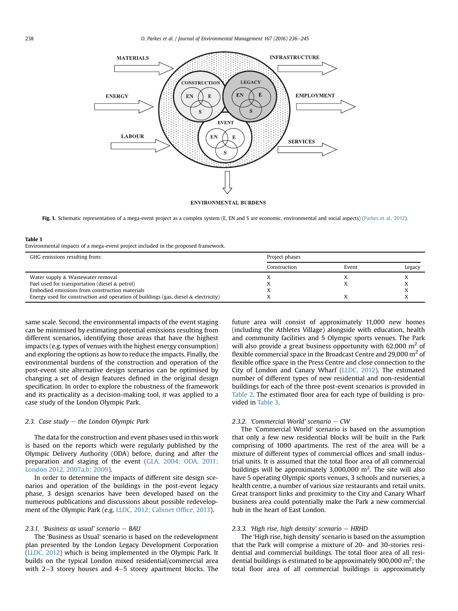<span id="page-2-0"></span>

**ENVIRONMENTAL BURDENS** 

Fig. 1. Schematic representation of a mega-event project as a complex system (E, EN and S are economic, environmental and social aspects) ([Parkes et al., 2012\)](#page-9-0).

### Table 1

Environmental impacts of a mega-event project included in the proposed framework.

| GHG emissions resulting from:                                                          | Project phases |       |        |
|----------------------------------------------------------------------------------------|----------------|-------|--------|
|                                                                                        | Construction   | Event | Legacy |
| Water supply & Wastewater removal                                                      |                |       |        |
| Fuel used for transportation (diesel & petrol)                                         |                |       |        |
| Embodied emissions from construction materials                                         |                |       |        |
| Energy used for construction and operation of buildings (gas, diesel $\&$ electricity) |                |       |        |

same scale. Second, the environmental impacts of the event staging can be minimised by estimating potential emissions resulting from different scenarios, identifying those areas that have the highest impacts (e.g. types of venues with the highest energy consumption) and exploring the options as how to reduce the impacts. Finally, the environmental burdens of the construction and operation of the post-event site alternative design scenarios can be optimised by changing a set of design features defined in the original design specification. In order to explore the robustness of the framework and its practicality as a decision-making tool, it was applied to a case study of the London Olympic Park.

# 2.3. Case study  $-$  the London Olympic Park

The data for the construction and event phases used in this work is based on the reports which were regularly published by the Olympic Delivery Authority (ODA) before, during and after the preparation and staging of the event ([GLA, 2004; ODA, 2011;](#page-9-0) [London 2012, 2007a,b; 2009\)](#page-9-0).

In order to determine the impacts of different site design scenarios and operation of the buildings in the post-event legacy phase, 3 design scenarios have been developed based on the numerous publications and discussions about possible redevelopment of the Olympic Park (e.g. [LLDC, 2012; Cabinet Of](#page-9-0)fice, 2013).

# 2.3.1. 'Business as usual' scenario  $-$  BAU

The 'Business as Usual' scenario is based on the redevelopment plan presented by the London Legacy Development Corporation ([LLDC, 2012\)](#page-9-0) which is being implemented in the Olympic Park. It builds on the typical London mixed residential/commercial area with  $2-3$  storey houses and  $4-5$  storey apartment blocks. The future area will consist of approximately 11,000 new homes (including the Athletes Village) alongside with education, health and community facilities and 5 Olympic sports venues. The Park will also provide a great business opportunity with  $62,000$  m<sup>2</sup> of flexible commercial space in the Broadcast Centre and 29,000  $m<sup>2</sup>$  of flexible office space in the Press Centre and close connection to the City of London and Canary Wharf ([LLDC, 2012](#page-9-0)). The estimated number of different types of new residential and non-residential buildings for each of the three post-event scenarios is provided in [Table 2](#page-3-0). The estimated floor area for each type of building is provided in [Table 3](#page-3-0).

# 2.3.2. 'Commercial World' scenario  $-$  CW

The 'Commercial World' scenario is based on the assumption that only a few new residential blocks will be built in the Park comprising of 1000 apartments. The rest of the area will be a mixture of different types of commercial offices and small industrial units. It is assumed that the total floor area of all commercial buildings will be approximately  $3,000,000$  m<sup>2</sup>. The site will also have 5 operating Olympic sports venues, 3 schools and nurseries, a health centre, a number of various size restaurants and retail units. Great transport links and proximity to the City and Canary Wharf business area could potentially make the Park a new commercial hub in the heart of East London.

# 2.3.3. 'High rise, high density' scenario  $-$  HRHD

The 'High rise, high density' scenario is based on the assumption that the Park will comprise a mixture of 20- and 30-stories residential and commercial buildings. The total floor area of all residential buildings is estimated to be approximately 900,000  $m^2$ ; the total floor area of all commercial buildings is approximately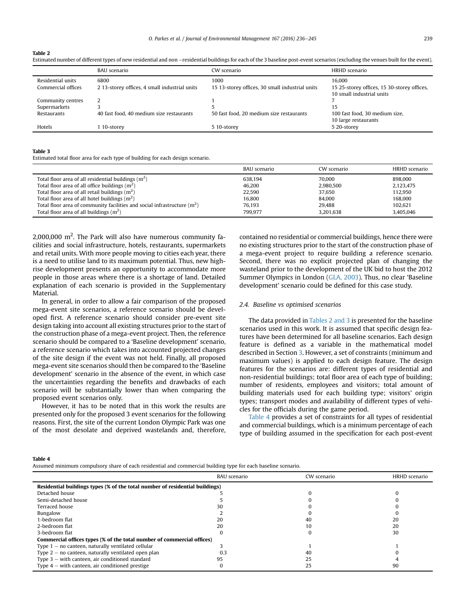## <span id="page-3-0"></span>Table 2

Estimated number of different types of new residential and non -residential buildings for each of the 3 baseline post-event scenarios (excluding the venues built for the event).

|                                                  | <b>BAU</b> scenario                                   | CW scenario                                             | HRHD scenario                                                                      |
|--------------------------------------------------|-------------------------------------------------------|---------------------------------------------------------|------------------------------------------------------------------------------------|
| Residential units<br>Commercial offices          | 6800<br>2 13-storey offices, 4 small industrial units | 1000<br>15 13-storey offices, 30 small industrial units | 16.000<br>15 25-storey offices, 15 30-storey offices,<br>10 small industrial units |
| Community centres<br>Supermarkets<br>Restaurants | 2<br>40 fast food, 40 medium size restaurants         | 50 fast food, 20 medium size restaurants                | 15<br>100 fast food, 30 medium size,<br>10 large restaurants                       |
| Hotels                                           | 10-storey                                             | 5 10-storey                                             | 5 20-storev                                                                        |

Table 3

Estimated total floor area for each type of building for each design scenario.

|                                                                           | BAU scenario | CW scenario | HRHD scenario |
|---------------------------------------------------------------------------|--------------|-------------|---------------|
| Total floor area of all residential buildings $(m^2)$                     | 638.194      | 70,000      | 898,000       |
| Total floor area of all office buildings $(m2)$                           | 46.200       | 2,980,500   | 2,123,475     |
| Total floor area of all retail buildings $(m2)$                           | 22.590       | 37.650      | 112.950       |
| Total floor area of all hotel buildings $(m^2)$                           | 16,800       | 84,000      | 168,000       |
| Total floor area of community facilities and social infrastructure $(m2)$ | 76.193       | 29,488      | 102.621       |
| Total floor area of all buildings $(m2)$                                  | 799.977      | 3.201.638   | 3.405.046     |

 $2,000,000$  m<sup>2</sup>. The Park will also have numerous community facilities and social infrastructure, hotels, restaurants, supermarkets and retail units. With more people moving to cities each year, there is a need to utilise land to its maximum potential. Thus, new highrise development presents an opportunity to accommodate more people in those areas where there is a shortage of land. Detailed explanation of each scenario is provided in the Supplementary **Material** 

In general, in order to allow a fair comparison of the proposed mega-event site scenarios, a reference scenario should be developed first. A reference scenario should consider pre-event site design taking into account all existing structures prior to the start of the construction phase of a mega-event project. Then, the reference scenario should be compared to a 'Baseline development' scenario, a reference scenario which takes into accounted projected changes of the site design if the event was not held. Finally, all proposed mega-event site scenarios should then be compared to the 'Baseline development' scenario in the absence of the event, in which case the uncertainties regarding the benefits and drawbacks of each scenario will be substantially lower than when comparing the proposed event scenarios only.

However, it has to be noted that in this work the results are presented only for the proposed 3 event scenarios for the following reasons. First, the site of the current London Olympic Park was one of the most desolate and deprived wastelands and, therefore,

contained no residential or commercial buildings, hence there were no existing structures prior to the start of the construction phase of a mega-event project to require building a reference scenario. Second, there was no explicit projected plan of changing the wasteland prior to the development of the UK bid to host the 2012 Summer Olympics in London ([GLA, 2003\)](#page-9-0). Thus, no clear 'Baseline development' scenario could be defined for this case study.

# 2.4. Baseline vs optimised scenarios

The data provided in Tables 2 and 3 is presented for the baseline scenarios used in this work. It is assumed that specific design features have been determined for all baseline scenarios. Each design feature is defined as a variable in the mathematical model described in Section [3](#page-5-0). However, a set of constraints (minimum and maximum values) is applied to each design feature. The design features for the scenarios are: different types of residential and non-residential buildings; total floor area of each type of building; number of residents, employees and visitors; total amount of building materials used for each building type; visitors' origin types; transport modes and availability of different types of vehicles for the officials during the game period.

Table 4 provides a set of constraints for all types of residential and commercial buildings, which is a minimum percentage of each type of building assumed in the specification for each post-event

### Table 4

Assumed minimum compulsory share of each residential and commercial building type for each baseline scenario.

|                                                                              | <b>BAU</b> scenario | CW scenario | HRHD scenario |
|------------------------------------------------------------------------------|---------------------|-------------|---------------|
| Residential buildings types (% of the total number of residential buildings) |                     |             |               |
| Detached house                                                               |                     |             |               |
| Semi-detached house                                                          |                     |             |               |
| Terraced house                                                               | 30                  |             |               |
| Bungalow                                                                     |                     |             |               |
| 1-bedroom flat                                                               | 20                  | 40          | 20            |
| 2-bedroom flat                                                               | 20                  | 10          | 20            |
| 3-bedroom flat                                                               |                     |             | 30            |
| Commercial offices types (% of the total number of commercial offices)       |                     |             |               |
| Type $1 -$ no canteen, naturally ventilated cellular                         |                     |             |               |
| Type $2 -$ no canteen, naturally ventilated open plan                        | 0.3                 | 40          |               |
| Type $3$ – with canteen, air conditioned standard                            | 95                  | 25          |               |
| Type $4$ – with canteen, air conditioned prestige                            |                     | 25          | 90            |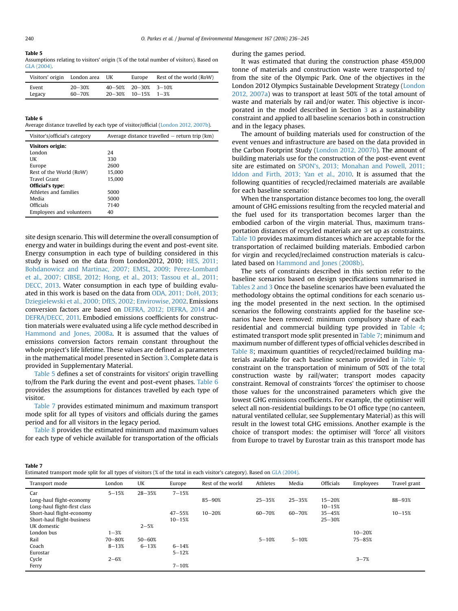# Table 5

Assumptions relating to visitors' origin (% of the total number of visitors). Based on [GLA \(2004\)](#page-9-0).

| Visitors' origin London area UK |                       |                                                                   | Europe Rest of the world (RoW) |
|---------------------------------|-----------------------|-------------------------------------------------------------------|--------------------------------|
| Event<br>Legacy                 | $20 - 30\%$<br>60-70% | $40 - 50\%$ 20 - 30% 3 - 10%<br>$20 - 30\%$ $10 - 15\%$ $1 - 3\%$ |                                |

## Table 6

Average distance travelled by each type of visitor/official ([London 2012, 2007b\)](#page-9-0).

| Visitor's/official's category | Average distance travelled $-$ return trip (km) |
|-------------------------------|-------------------------------------------------|
| <b>Visitors origin:</b>       |                                                 |
| London                        | 24                                              |
| UK                            | 330                                             |
| Europe                        | 2600                                            |
| Rest of the World (RoW)       | 15.000                                          |
| Travel Grant                  | 15.000                                          |
| Official's type:              |                                                 |
| Athletes and families         | 5000                                            |
| Media                         | 5000                                            |
| Officials                     | 7140                                            |
| Employees and volunteers      | 40                                              |

site design scenario. This will determine the overall consumption of energy and water in buildings during the event and post-event site. Energy consumption in each type of building considered in this study is based on the data from London2012, 2010; [HES, 2011;](#page-9-0) Bohdanowicz and Martinac, 2007; EMSL, 2009; Pérez-Lombard [et al., 2007; CIBSE, 2012; Hong, et al., 2013; Tassou et al., 2011;](#page-9-0) [DECC, 2013.](#page-9-0) Water consumption in each type of building evaluated in this work is based on the data from [ODA, 2011; DoH, 2013;](#page-9-0) [Dziegielewski et al., 2000; DfES, 2002; Envirowise, 2002](#page-9-0). Emissions conversion factors are based on [DEFRA, 2012; DEFRA, 2014](#page-9-0) and [DEFRA/DECC, 2011.](#page-9-0) Embodied emissions coefficients for construction materials were evaluated using a life cycle method described in [Hammond and Jones, 2008a](#page-9-0). It is assumed that the values of emissions conversion factors remain constant throughout the whole project's life lifetime. These values are defined as parameters in the mathematical model presented in Section [3](#page-5-0). Complete data is provided in Supplementary Material.

Table 5 defines a set of constraints for visitors' origin travelling to/from the Park during the event and post-event phases. Table 6 provides the assumptions for distances travelled by each type of visitor.

Table 7 provides estimated minimum and maximum transport mode split for all types of visitors and officials during the games period and for all visitors in the legacy period.

[Table 8](#page-5-0) provides the estimated minimum and maximum values for each type of vehicle available for transportation of the officials during the games period.

It was estimated that during the construction phase 459,000 tonne of materials and construction waste were transported to/ from the site of the Olympic Park. One of the objectives in the London 2012 Olympics Sustainable Development Strategy ([London](#page-9-0) [2012, 2007a](#page-9-0)) was to transport at least 50% of the total amount of waste and materials by rail and/or water. This objective is incorporated in the model described in Section [3](#page-5-0) as a sustainability constraint and applied to all baseline scenarios both in construction and in the legacy phases.

The amount of building materials used for construction of the event venues and infrastructure are based on the data provided in the Carbon Footprint Study [\(London 2012, 2007b](#page-9-0)). The amount of building materials use for the construction of the post-event event site are estimated on [SPON's, 2013; Monahan and Powell, 2011;](#page-9-0) [Iddon and Firth, 2013; Yan et al., 2010.](#page-9-0) It is assumed that the following quantities of recycled/reclaimed materials are available for each baseline scenario:

When the transportation distance becomes too long, the overall amount of GHG emissions resulting from the recycled material and the fuel used for its transportation becomes larger than the embodied carbon of the virgin material. Thus, maximum transportation distances of recycled materials are set up as constraints. [Table 10](#page-5-0) provides maximum distances which are acceptable for the transportation of reclaimed building materials. Embodied carbon for virgin and recycled/reclaimed construction materials is calculated based on [Hammond and Jones \(2008b\)](#page-9-0).

The sets of constraints described in this section refer to the baseline scenarios based on design specifications summarised in [Tables 2 and 3](#page-3-0) Once the baseline scenarios have been evaluated the methodology obtains the optimal conditions for each scenario using the model presented in the next section. In the optimised scenarios the following constraints applied for the baseline scenarios have been removed: minimum compulsory share of each residential and commercial building type provided in [Table 4](#page-3-0); estimated transport mode split presented in Table 7; minimum and maximum number of different types of official vehicles described in [Table 8](#page-5-0); maximum quantities of recycled/reclaimed building materials available for each baseline scenario provided in [Table 9](#page-5-0); constraint on the transportation of minimum of 50% of the total construction waste by rail/water; transport modes capacity constraint. Removal of constraints 'forces' the optimiser to choose those values for the unconstrained parameters which give the lowest GHG emissions coefficients. For example, the optimiser will select all non-residential buildings to be O1 office type (no canteen, natural ventilated cellular, see Supplementary Material) as this will result in the lowest total GHG emissions. Another example is the choice of transport modes: the optimiser will 'force' all visitors from Europe to travel by Eurostar train as this transport mode has

#### Table 7

Estimated transport mode split for all types of visitors (% of the total in each visitor's category). Based on [GLA \(2004\)](#page-9-0).

| Transport mode               | London     | UK         | Europe     | Rest of the world | Athletes   | Media      | Officials  | Employees  | Travel grant |
|------------------------------|------------|------------|------------|-------------------|------------|------------|------------|------------|--------------|
| Car                          | $5 - 15%$  | $28 - 35%$ | $7 - 15%$  |                   |            |            |            |            |              |
| Long-haul flight-economy     |            |            |            | $85 - 90%$        | $25 - 35%$ | $25 - 35%$ | $15 - 20%$ |            | 88-93%       |
| Long-haul flight-first class |            |            |            |                   |            |            | $10 - 15%$ |            |              |
| Short-haul flight-economy    |            |            | $47 - 55%$ | $10 - 20%$        | $60 - 70%$ | $60 - 70%$ | $35 - 45%$ |            | $10 - 15%$   |
| Short-haul flight-business   |            |            | $10 - 15%$ |                   |            |            | $25 - 30%$ |            |              |
| UK domestic                  |            | $2 - 5%$   |            |                   |            |            |            |            |              |
| London bus                   | $1 - 3%$   |            |            |                   |            |            |            | $10 - 20%$ |              |
| Rail                         | $70 - 80%$ | $50 - 60%$ |            |                   | $5 - 10%$  | $5 - 10%$  |            | $75 - 85%$ |              |
| Coach                        | $8 - 13%$  | $6 - 13%$  | $6 - 14%$  |                   |            |            |            |            |              |
| Eurostar                     |            |            | $5 - 12%$  |                   |            |            |            |            |              |
| Cycle                        | $2 - 6%$   |            |            |                   |            |            |            | $3 - 7%$   |              |
| Ferry                        |            |            | $7 - 10%$  |                   |            |            |            |            |              |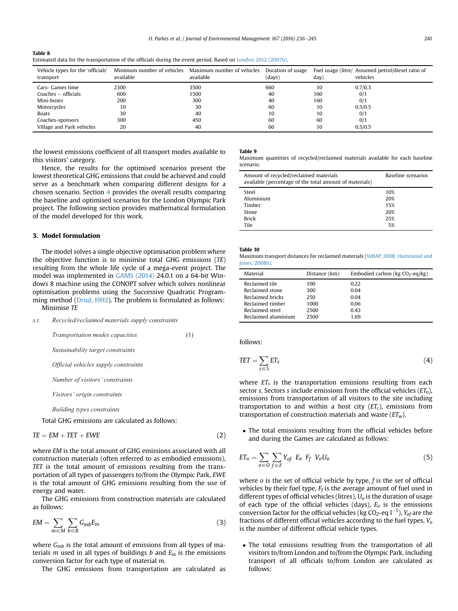<span id="page-5-0"></span>

| Estimated data for the transportation of the officials during the event period. Based on London 2012 (2007b). |  |
|---------------------------------------------------------------------------------------------------------------|--|
|---------------------------------------------------------------------------------------------------------------|--|

| Vehicle types for the 'officials'<br>transport | Minimum number of vehicles<br>available | Maximum number of vehicles<br>available | Duration of usage<br>(days) | day) | Fuel usage (litre/ Assumed petrol/diesel ratio of<br>vehicles |
|------------------------------------------------|-----------------------------------------|-----------------------------------------|-----------------------------|------|---------------------------------------------------------------|
| Cars- Games time                               | 2300                                    | 3500                                    | 660                         | 10   | 0.7/0.3                                                       |
| $Coaches - officials$                          | 600                                     | 1500                                    | 40                          | 160  | 0/1                                                           |
| Mini-buses                                     | 200                                     | 300                                     | 40                          | 160  | 0/1                                                           |
| Motorcycles                                    | 10                                      | 30                                      | 60                          | 10   | 0.5/0.5                                                       |
| <b>Boats</b>                                   | 30                                      | 40                                      | 10                          | 10   | 0/1                                                           |
| Coaches-sponsors                               | 300                                     | 450                                     | 60                          | 60   | 0/1                                                           |
| Village and Park vehicles                      | 20                                      | 40                                      | 60                          | 10   | 0.5/0.5                                                       |

the lowest emissions coefficient of all transport modes available to this visitors' category.

Hence, the results for the optimised scenarios present the lowest theoretical GHG emissions that could be achieved and could serve as a benchmark when comparing different designs for a chosen scenario. Section [4](#page-7-0) provides the overall results comparing the baseline and optimised scenarios for the London Olympic Park project. The following section provides mathematical formulation of the model developed for this work.

# 3. Model formulation

The model solves a single objective optimisation problem where the objective function is to minimise total GHG emissions (TE) resulting from the whole life cycle of a mega-event project. The model was implemented in [GAMS \(2014\)](#page-9-0) 24.0.1 on a 64-bit Windows 8 machine using the CONOPT solver which solves nonlinear optimisation problems using the Successive Quadratic Programming method [\(Drud, 1992\)](#page-9-0). The problem is formulated as follows: Minimise TE

*s.t. Recycled/reclaimed materials supply constraints*

| Transportation modes capacities      | (1) |
|--------------------------------------|-----|
| Sustainability target constraints    |     |
| Official vehicles supply constraints |     |
| Number of visitors' constraints      |     |
| Visitors' origin constraints         |     |
|                                      |     |

*Building types constraints*

Total GHG emissions are calculated as follows:

$$
TE = EM + TET + EWE \tag{2}
$$

where EM is the total amount of GHG emissions associated with all construction materials (often referred to as embodied emissions), TET is the total amount of emissions resulting from the transportation of all types of passengers to/from the Olympic Park, EWE is the total amount of GHG emissions resulting from the use of energy and water.

The GHG emissions from construction materials are calculated as follows:

$$
EM = \sum_{m \in M} \sum_{b \in B} G_{mb} E_m \tag{3}
$$

where  $G_{mb}$  is the total amount of emissions from all types of materials *m* used in all types of buildings *b* and  $E_m$  is the emissions conversion factor for each type of material m.

The GHG emissions from transportation are calculated as

# Table 9

Maximum quantities of recycled/reclaimed materials available for each baseline scenario.

| Amount of recycled/reclaimed materials<br>available (percentage of the total amount of materials) | Baseline scenarios |
|---------------------------------------------------------------------------------------------------|--------------------|
| Steel                                                                                             | 10%                |
| Aluminium                                                                                         | 20%                |
| Timber                                                                                            | 15%                |
| Stone                                                                                             | 20%                |
| <b>Brick</b>                                                                                      | 25%                |
| Tile                                                                                              | 5%                 |

## Table 10

Maximum transport distances for reclaimed materials ([WRAP, 2008; Hammond and](#page-9-0) [Jones, 2008b\).](#page-9-0)

| Material            | Distance (km) | Embodied carbon ( $kg CO2 - eq/kg$ ) |
|---------------------|---------------|--------------------------------------|
| Reclaimed tile      | 100           | 0.22                                 |
| Reclaimed stone     | 300           | 0.04                                 |
| Reclaimed bricks    | 250           | 0.04                                 |
| Reclaimed timber    | 1000          | 0.06                                 |
| Reclaimed steel     | 2500          | 0.43                                 |
| Reclaimed aluminium | 2500          | 1.69                                 |

follows:

$$
TET = \sum_{s \in S} ET_s \tag{4}
$$

where  $ET_s$  is the transportation emissions resulting from each sector s. Sectors s include emissions from the official vehicles  $(ET<sub>0</sub>)$ , emissions from transportation of all visitors to the site including transportation to and within a host city  $(ET<sub>c</sub>)$ , emissions from transportation of construction materials and waste  $(ET_w)$ .

- The total emissions resulting from the official vehicles before and during the Games are calculated as follows:

$$
ET_0 = \sum_{o \in O} \sum_{f \in F} Y_{of} E_o F_f V_o U_o \tag{5}
$$

where  $\sigma$  is the set of official vehicle by type,  $f$  is the set of official vehicles by their fuel type,  $F_f$  is the average amount of fuel used in different types of official vehicles (litres),  $U<sub>o</sub>$  is the duration of usage of each type of the official vehicles (days),  $E_0$  is the emissions conversion factor for the official vehicles (kg CO<sub>2</sub>-eq l<sup>-1</sup>), Y<sub>of</sub> are the fractions of different official vehicles according to the fuel types,  $V_0$ is the number of different official vehicle types.

- The total emissions resulting from the transportation of all visitors to/from London and to/from the Olympic Park, including transport of all officials to/from London are calculated as follows: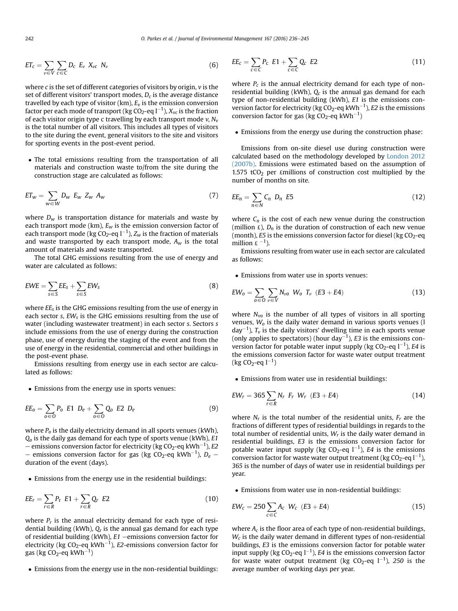$$
ET_c = \sum_{v \in V} \sum_{c \in C} D_c \ E_v \ X_{vc} \ N_v \tag{6}
$$

where  $c$  is the set of different categories of visitors by origin,  $v$  is the set of different visitors' transport modes,  $D_c$  is the average distance travelled by each type of visitor (km),  $E_v$  is the emission conversion factor per each mode of transport (kg CO<sub>2</sub>-eq l $^{-1}$ ),  $X_{\nu\text{c}}$  is the fraction of each visitor origin type c travelling by each transport mode  $v, N_v$ is the total number of all visitors. This includes all types of visitors to the site during the event, general visitors to the site and visitors for sporting events in the post-event period.

- The total emissions resulting from the transportation of all materials and construction waste to/from the site during the construction stage are calculated as follows:

$$
ET_w = \sum_{w \in W} D_w \ E_w \ Z_w \ A_w \tag{7}
$$

where  $D_w$  is transportation distance for materials and waste by each transport mode (km),  $E_w$  is the emission conversion factor of each transport mode (kg CO<sub>2</sub>-eq l $^{-1}$ ),  $Z_w$  is the fraction of materials and waste transported by each transport mode,  $A_w$  is the total amount of materials and waste transported.

The total GHG emissions resulting from the use of energy and water are calculated as follows:

$$
EWE = \sum_{s \in S} EE_s + \sum_{s \in S} EW_s \tag{8}
$$

where  $EE_s$  is the GHG emissions resulting from the use of energy in each sector s,  $EW<sub>s</sub>$  is the GHG emissions resulting from the use of water (including wastewater treatment) in each sector s. Sectors s include emissions from the use of energy during the construction phase, use of energy during the staging of the event and from the use of energy in the residential, commercial and other buildings in the post-event phase.

Emissions resulting from energy use in each sector are calculated as follows:

- Emissions from the energy use in sports venues:

$$
EE_0 = \sum_{o \in O} P_o \quad E1 \quad D_e + \sum_{o \in O} Q_o \quad E2 \quad D_e \tag{9}
$$

where  $P<sub>o</sub>$  is the daily electricity demand in all sports venues (kWh),  $Q<sub>o</sub>$  is the daily gas demand for each type of sports venue (kWh),  $E1$ – emissions conversion factor for electricity (kg CO<sub>2</sub>-eq kWh $^{-1}$ ), E2  $-$  emissions conversion factor for gas (kg CO<sub>2</sub>-eq kWh $^{-1}$ ),  $D_e$   $$ duration of the event (days).

- Emissions from the energy use in the residential buildings:

$$
EE_r = \sum_{r \in R} P_r \ E1 + \sum_{r \in R} Q_r \ E2 \tag{10}
$$

where  $P_r$  is the annual electricity demand for each type of residential building (kWh),  $Q_r$  is the annual gas demand for each type of residential building (kWh),  $E1$  -emissions conversion factor for electricity (kg CO<sub>2</sub>-eq kWh $^{-1}$ ), *E2-*emissions conversion factor for gas (kg CO<sub>2</sub>-eq kWh $^{-1})$ 

- Emissions from the energy use in the non-residential buildings:

$$
EE_c = \sum_{c \in C} P_c \ E1 + \sum_{c \in C} Q_c \ E2 \tag{11}
$$

where  $P_c$  is the annual electricity demand for each type of nonresidential building (kWh),  $Q_c$  is the annual gas demand for each type of non-residential building (kWh), E1 is the emissions conversion factor for electricity (kg CO<sub>2</sub>-eq kWh $^{-1}$ ), E2 is the emissions conversion factor for gas (kg CO<sub>2</sub>-eq kWh<sup>-1</sup>)

- Emissions from the energy use during the construction phase:

Emissions from on-site diesel use during construction were calculated based on the methodology developed by [London 2012](#page-9-0) [\(2007b\).](#page-9-0) Emissions were estimated based on the assumption of 1.575 tCO<sub>2</sub> per £millions of construction cost multiplied by the number of months on site.

$$
EE_n = \sum_{n \in N} C_n \ D_n \ E5 \tag{12}
$$

where  $C_n$  is the cost of each new venue during the construction (million  $\pm$ ),  $D_n$  is the duration of construction of each new venue (month), E5 is the emissions conversion factor for diesel (kg  $CO<sub>2</sub>$ -eq million  $\epsilon$   $^{-1}$ ).

Emissions resulting from water use in each sector are calculated as follows:

- Emissions from water use in sports venues:

$$
EW_0 = \sum_{o \in O} \sum_{v \in V} N_{vo} \ W_0 \ T_v \ (E3 + E4)
$$
 (13)

where  $N_{vo}$  is the number of all types of visitors in all sporting venues,  $W_0$  is the daily water demand in various sports venues (1) day<sup>-1</sup>),  $T_v$  is the daily visitors' dwelling time in each sports venue (only applies to spectators) (hour day<sup>-1</sup>), E3 is the emissions conversion factor for potable water input supply (kg CO<sub>2</sub>-eq  $l^{-1}$ ), E4 is the emissions conversion factor for waste water output treatment (kg CO<sub>2</sub>-eq l<sup>-1</sup>)

- Emissions from water use in residential buildings:

$$
EW_r = 365 \sum_{r \in R} N_r \ F_r \ W_r \ (E3 + E4) \tag{14}
$$

where  $N_r$  is the total number of the residential units,  $F_r$  are the fractions of different types of residential buildings in regards to the total number of residential units,  $W_r$  is the daily water demand in residential buildings, E3 is the emissions conversion factor for potable water input supply (kg CO<sub>2</sub>-eq  $l^{-1}$ ), E4 is the emissions conversion factor for waste water output treatment (kg CO<sub>2</sub>-eq l $^{-1}$ ), 365 is the number of days of water use in residential buildings per year.

- Emissions from water use in non-residential buildings:

$$
EW_c = 250 \sum_{c \in C} A_c \ W_c \ (E3 + E4)
$$
 (15)

where  $A_c$  is the floor area of each type of non-residential buildings,  $W_c$  is the daily water demand in different types of non-residential buildings, E3 is the emissions conversion factor for potable water input supply (kg CO<sub>2</sub>-eq  $1^{-1}$ ), E4 is the emissions conversion factor for waste water output treatment (kg  $CO_2$ -eq  $1^{-1}$ ), 250 is the average number of working days per year.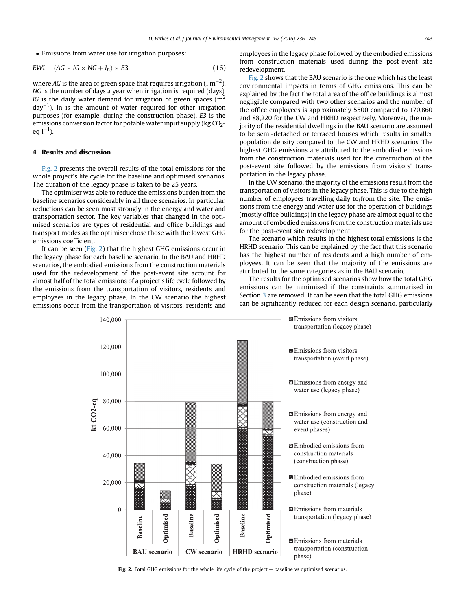<span id="page-7-0"></span>- Emissions from water use for irrigation purposes:

$$
EWi = (AG \times IG \times NG + I_n) \times E3 \tag{16}
$$

where AG is the area of green space that requires irrigation (l m $^{-2}$ ), NG is the number of days a year when irrigation is required (days), IG is the daily water demand for irrigation of green spaces ( $m<sup>2</sup>$  $day^{-1}$ ), In is the amount of water required for other irrigation purposes (for example, during the construction phase), E3 is the emissions conversion factor for potable water input supply ( $kg CO<sub>2</sub>$ eq  $l^{-1}$ ).

# 4. Results and discussion

Fig. 2 presents the overall results of the total emissions for the whole project's life cycle for the baseline and optimised scenarios. The duration of the legacy phase is taken to be 25 years.

The optimiser was able to reduce the emissions burden from the baseline scenarios considerably in all three scenarios. In particular, reductions can be seen most strongly in the energy and water and transportation sector. The key variables that changed in the optimised scenarios are types of residential and office buildings and transport modes as the optimiser chose those with the lowest GHG emissions coefficient.

It can be seen (Fig. 2) that the highest GHG emissions occur in the legacy phase for each baseline scenario. In the BAU and HRHD scenarios, the embodied emissions from the construction materials used for the redevelopment of the post-event site account for almost half of the total emissions of a project's life cycle followed by the emissions from the transportation of visitors, residents and employees in the legacy phase. In the CW scenario the highest emissions occur from the transportation of visitors, residents and employees in the legacy phase followed by the embodied emissions from construction materials used during the post-event site redevelopment.

Fig. 2 shows that the BAU scenario is the one which has the least environmental impacts in terms of GHG emissions. This can be explained by the fact the total area of the office buildings is almost negligible compared with two other scenarios and the number of the office employees is approximately 5500 compared to 170,860 and 88,220 for the CW and HRHD respectively. Moreover, the majority of the residential dwellings in the BAU scenario are assumed to be semi-detached or terraced houses which results in smaller population density compared to the CW and HRHD scenarios. The highest GHG emissions are attributed to the embodied emissions from the construction materials used for the construction of the post-event site followed by the emissions from visitors' transportation in the legacy phase.

In the CW scenario, the majority of the emissions result from the transportation of visitors in the legacy phase. This is due to the high number of employees travelling daily to/from the site. The emissions from the energy and water use for the operation of buildings (mostly office buildings) in the legacy phase are almost equal to the amount of embodied emissions from the construction materials use for the post-event site redevelopment.

The scenario which results in the highest total emissions is the HRHD scenario. This can be explained by the fact that this scenario has the highest number of residents and a high number of employees. It can be seen that the majority of the emissions are attributed to the same categories as in the BAU scenario.

The results for the optimised scenarios show how the total GHG emissions can be minimised if the constraints summarised in Section [3](#page-5-0) are removed. It can be seen that the total GHG emissions can be significantly reduced for each design scenario, particularly



Fig. 2. Total GHG emissions for the whole life cycle of the project  $-$  baseline vs optimised scenarios.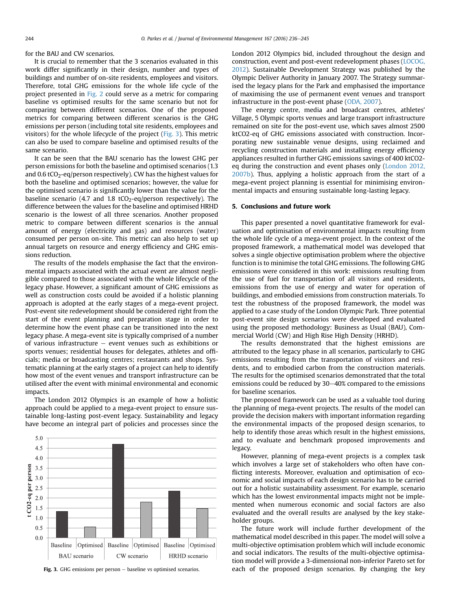for the BAU and CW scenarios.

It is crucial to remember that the 3 scenarios evaluated in this work differ significantly in their design, number and types of buildings and number of on-site residents, employees and visitors. Therefore, total GHG emissions for the whole life cycle of the project presented in [Fig. 2](#page-7-0) could serve as a metric for comparing baseline vs optimised results for the same scenario but not for comparing between different scenarios. One of the proposed metrics for comparing between different scenarios is the GHG emissions per person (including total site residents, employees and visitors) for the whole lifecycle of the project (Fig. 3). This metric can also be used to compare baseline and optimised results of the same scenario.

It can be seen that the BAU scenario has the lowest GHG per person emissions for both the baseline and optimised scenarios (1.3 and  $0.6$  tCO<sub>2</sub>-eq/person respectively). CW has the highest values for both the baseline and optimised scenarios; however, the value for the optimised scenario is significantly lower than the value for the baseline scenario (4.7 and 1.8  $tCO<sub>2</sub>$ -eq/person respectively). The difference between the values for the baseline and optimised HRHD scenario is the lowest of all three scenarios. Another proposed metric to compare between different scenarios is the annual amount of energy (electricity and gas) and resources (water) consumed per person on-site. This metric can also help to set up annual targets on resource and energy efficiency and GHG emissions reduction.

The results of the models emphasise the fact that the environmental impacts associated with the actual event are almost negligible compared to those associated with the whole lifecycle of the legacy phase. However, a significant amount of GHG emissions as well as construction costs could be avoided if a holistic planning approach is adopted at the early stages of a mega-event project. Post-event site redevelopment should be considered right from the start of the event planning and preparation stage in order to determine how the event phase can be transitioned into the next legacy phase. A mega-event site is typically comprised of a number of various infrastructure  $-$  event venues such as exhibitions or sports venues; residential houses for delegates, athletes and officials; media or broadcasting centres; restaurants and shops. Systematic planning at the early stages of a project can help to identify how most of the event venues and transport infrastructure can be utilised after the event with minimal environmental and economic impacts.

The London 2012 Olympics is an example of how a holistic approach could be applied to a mega-event project to ensure sustainable long-lasting post-event legacy. Sustainability and legacy have become an integral part of policies and processes since the



London 2012 Olympics bid, included throughout the design and construction, event and post-event redevelopment phases ([LOCOG,](#page-9-0) [2012](#page-9-0)). Sustainable Development Strategy was published by the Olympic Deliver Authority in January 2007. The Strategy summarised the legacy plans for the Park and emphasised the importance of maximising the use of permanent event venues and transport infrastructure in the post-event phase ([ODA, 2007](#page-9-0)).

The energy centre, media and broadcast centres, athletes' Village, 5 Olympic sports venues and large transport infrastructure remained on site for the post-event use, which saves almost 2500 ktCO2-eq of GHG emissions associated with construction. Incorporating new sustainable venue designs, using reclaimed and recycling construction materials and installing energy efficiency appliances resulted in further GHG emissions savings of 400 ktCO2 eq during the construction and event phases only [\(London 2012,](#page-9-0) [2007b\)](#page-9-0). Thus, applying a holistic approach from the start of a mega-event project planning is essential for minimising environmental impacts and ensuring sustainable long-lasting legacy.

# 5. Conclusions and future work

This paper presented a novel quantitative framework for evaluation and optimisation of environmental impacts resulting from the whole life cycle of a mega-event project. In the context of the proposed framework, a mathematical model was developed that solves a single objective optimisation problem where the objective function is to minimise the total GHG emissions. The following GHG emissions were considered in this work: emissions resulting from the use of fuel for transportation of all visitors and residents, emissions from the use of energy and water for operation of buildings, and embodied emissions from construction materials. To test the robustness of the proposed framework, the model was applied to a case study of the London Olympic Park. Three potential post-event site design scenarios were developed and evaluated using the proposed methodology: Business as Usual (BAU), Commercial World (CW) and High Rise High Density (HRHD).

The results demonstrated that the highest emissions are attributed to the legacy phase in all scenarios, particularly to GHG emissions resulting from the transportation of visitors and residents, and to embodied carbon from the construction materials. The results for the optimised scenarios demonstrated that the total emissions could be reduced by 30-40% compared to the emissions for baseline scenarios.

The proposed framework can be used as a valuable tool during the planning of mega-event projects. The results of the model can provide the decision makers with important information regarding the environmental impacts of the proposed design scenarios, to help to identify those areas which result in the highest emissions, and to evaluate and benchmark proposed improvements and legacy.

However, planning of mega-event projects is a complex task which involves a large set of stakeholders who often have conflicting interests. Moreover, evaluation and optimisation of economic and social impacts of each design scenario has to be carried out for a holistic sustainability assessment. For example, scenario which has the lowest environmental impacts might not be implemented when numerous economic and social factors are also evaluated and the overall results are analysed by the key stakeholder groups.

The future work will include further development of the mathematical model described in this paper. The model will solve a multi-objective optimisation problem which will include economic and social indicators. The results of the multi-objective optimisation model will provide a 3-dimensional non-inferior Pareto set for Fig. 3. GHG emissions per person – baseline vs optimised scenarios. each of the proposed design scenarios. By changing the key